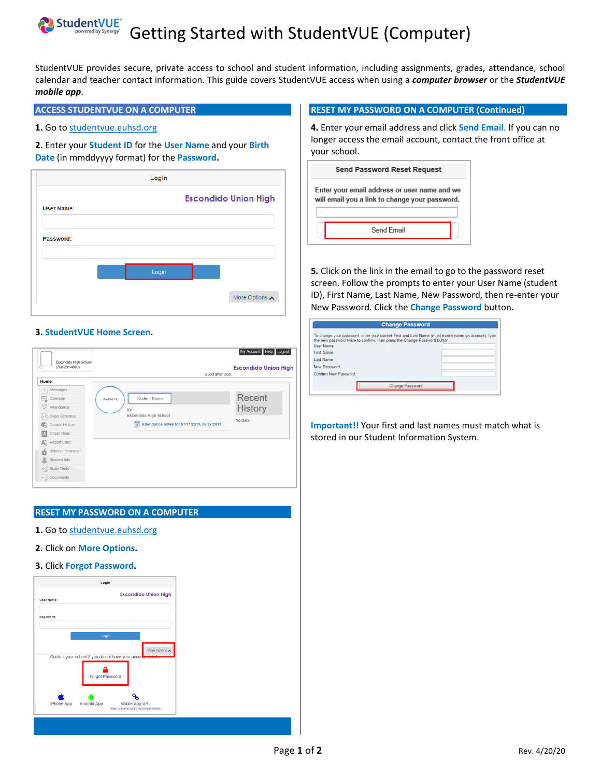# **StudentVUE**<sup>\*</sup> Getting Started with StudentVUE (Computer)

StudentVUE provides secure, private access to school and student information, including assignments, grades, attendance, school calendar and teacher contact information. This guide covers StudentVUE access when using a *computer browser* or the *StudentVUE mobile app*.

# **ACCESS STUDENTVUE ON A COMPUTER**

### 1. Go to studentvue.euhsd.org

## **2.** Enter your **Student ID** for the **User Name** and your **Birth Date** (in mmddyyyy format) for the **Password.**



### **3. StudentVUE Home Screen.**

| Escondido High School<br>$(760 - 291 - 4000)$<br>ID: | Good afternoon.                                                                   | My Account Help Logout<br><b>Escondido Union High</b> |
|------------------------------------------------------|-----------------------------------------------------------------------------------|-------------------------------------------------------|
| Home<br>Messages                                     |                                                                                   |                                                       |
| m<br>弖<br>Calendar                                   | <b>Student Name</b><br><b>Student Pic</b>                                         | Recent                                                |
| $\overline{\checkmark}$<br>Attendance                | ID:<br>Escondido High School<br>÷.<br>Attendance notes for 07/11/2019, 06/27/2019 | <b>History</b>                                        |
| <b>Exit Class Schedule</b>                           |                                                                                   | No Data                                               |
| Course History                                       |                                                                                   |                                                       |
| Grade Book<br>脑                                      |                                                                                   |                                                       |
| $A^+_{\alpha}$ Report Card                           |                                                                                   |                                                       |
| School Information<br>合                              |                                                                                   |                                                       |
| Student Info<br>ä                                    |                                                                                   |                                                       |
| $\sim_{\odot}$ State Tests                           |                                                                                   |                                                       |
| $\sim$ Documents                                     |                                                                                   |                                                       |

# **RESET MY PASSWORD ON A COMPUTER**

- **1.** Go to studentvue.euhsd.org
- **2.** Click on **More Options.**
- **3.** Click **Forgot Password.**



#### **RESET MY PASSWORD ON A COMPUTER (Continued)**

**4.** Enter your email address and click **Send Email**. If you can no longer access the email account, contact the front office at your school.

| <b>Send Password Reset Request</b>                                                             |  |  |
|------------------------------------------------------------------------------------------------|--|--|
| Enter your email address or user name and we<br>will email you a link to change your password. |  |  |
| Send Email                                                                                     |  |  |

**5.** Click on the link in the email to go to the password reset screen. Follow the prompts to enter your User Name (student ID), First Name, Last Name, New Password, then re‐enter your New Password. Click the **Change Password** button.

| To change your password, enter your current First and Last Name (must match name on account), type<br>the new password twice to confirm, then press the Change Password button.<br><b>User Name</b> |  |
|-----------------------------------------------------------------------------------------------------------------------------------------------------------------------------------------------------|--|
| First Name                                                                                                                                                                                          |  |
|                                                                                                                                                                                                     |  |
| Last Name                                                                                                                                                                                           |  |
| New Password:                                                                                                                                                                                       |  |
| Confirm New Password:                                                                                                                                                                               |  |
|                                                                                                                                                                                                     |  |
| <b>Change Password</b>                                                                                                                                                                              |  |

**Important!!** Your first and last names must match what is stored in our Student Information System.